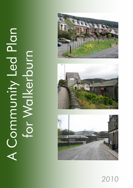# A Connunity Led Plan A Community Led Plan for Walkerburn for Walkerburn







*2010*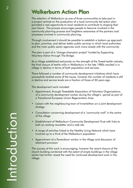## Walkerburn Action Plan

The selection of Walkerburn as one of three communities to take part in a project centred on the production of a local community led action plan provided a real opportunity to local residents to contribute to shaping their own future. The process encourages people to become involved in the community planning process and heightens awareness of the partners and processes involved in community planning.

Through involvement it should be possible to establish a bottom-up approach to plan, prioritise, and deliver better public services in which local authorities and the main public sector agencies work more closely with the community.

The plan is part of a 'change champion project' funded by Supporting Voluntary Action through The Bridge.

As a village established exclusively on the strength of the Tweed textile industry, the final closure of textile mills in Walkerburn in the late 1980s resulted in a village in decline in terms of both population and services.

There followed a number of community development initiatives which have successfully tackled some of the issues, however the number of residents is still in decline and service levels are a fraction of those of 30 years ago.

The development work included:

- Appointment, through Tweeddale Association of Voluntary Organisations, of a community development worker during the village's period as part of a Transitional European Union Regeneration Area
- Liaison with the neighbouring town of Innerleithen on a joint development strategy
- Consultation concerning development of a 'community mall' in the centre of the village
- Establishment of Walkerburn Community Development Trust with links to both an existing newsletter and a web site
- A range of activities linked to the Healthy Living Network which have involved up to a third of the Walkerburn population
- Appointment of a Powerdown worker in the village and discussion of allotment provision

The success of this work is encouraging, however the recent closure of the church building combined with the extent of empty buildings in the village centre has further raised the need for continued development work in the village.

*2*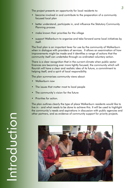The project presents an opportunity for local residents to:

- become involved in and contribute to the preparation of a community focused local plan
- better understand, participate in, and influence the Statutory Community Planning process
- make known their priorities for the village
- support Walkerburn to organise and take forward some local initiatives by itself.

The final plan is an important lever for use by the community of Walkerburn when in dialogue with providers of services. It allows an examination of how improvements might be made and it identifies a range of actions that the community itself can undertake through co-ordinated voluntary action.

There is a clear recognition that in the current climate when public sector finances are becoming ever more tightly focused, the community which will flourish will have a clear and realistic idea of its future, a commitment to helping itself, and a spirit of local responsibility.

The plan summarises community views about:

- Walkerburn now
- The issues that matter most to local people
- The community's vision for the future
- Priorities for action.

The plan outlines clearly the type of place Walkerburn residents would like to live in - and what needs to be done to achieve this. It will be used to highlight the community's needs and aspirations in discussion with public agencies and other partners, and as evidence of community support for priority projects.

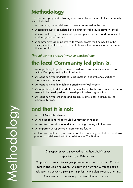# Methodology

This plan was prepared following extensive collaboration with the community, which included:

- A community survey delivered to every household in the area
- A separate survey completed by children at Walkerburn primary school
- A series of focus groups/workshops to capture the views and priorities of various groups of residents
- A community "Visioning Event" to 'reality-proof' the findings from the surveys and the focus groups and to finalise the priorities for inclusion in this Action Plan.

*Throughout the process it was emphasised that:*

# the local Community led plan is:

- An opportunity to participate and feed into a community focused Local Action Plan prepared by local residents
- An opportunity to understand, participate in, and influence Statutory Community Planning
- An opportunity to highlight the priorities for Walkerburn
- An opportunity to define what can be actioned by the community and what needs to be developed in partnership with other organisations
- An opportunity to organise and progress some local initiatives by the community itself.

## and that it is not:

- A Local Authority Scheme
- A wish list of things that should but may never happen
- A promise of substantial additional funding coming into the area
- A temporary unsupported project with no future.

The plan was facilitated by a member of the community, Ian Ireland, and was supported and delivered with the assistance of The Bridge.

> 151 responses were received to the household survey representing a 36% return.

98 people attended focus group discussions, and a further 41 took part in the visioning event. In addition a further 19 young people took part in a survey a few months prior to the plan process starting. The results of this survey are also taken into account.

Methodology Methodology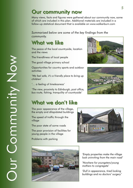# Our community now

Many views, facts and figures were gathered about our community now, some of which are included in this plan. Additional materials are included in a follow-up statistical document that is available on www.walkerburn.com

## *Summarised below are some of the key findings from the community.*

# What we like

The peace of the local countryside, location and the views

The friendliness of local people

The good village primary school

Opportunities for country sports and outdoor activities

*'We feel safe, it's a friendly place to bring up children'*

*'… a feeling of timelessness'*

*'The view, proximity to Edinburgh, post office, bus route, fishing, tranquility of countryside'*

## What we don't like

The poor appearance of the village, the empty and dilapidated buildings

The speed of traffic through the village

The poor state of some roads

The poor provision of facilities for young people in the village

Problems with parking









*'Empty properties make the village look uninviting from the main road'*

*'Nowhere for youngsters/young mothers to congregate'*

*'Dull in appearance, tired looking buildings and no doctors' surgery'*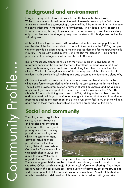## Background and environment

Lying nearly equidistant from Galashiels and Peebles in the Tweed Valley, Walkerburn was established during the mid nineteenth century by the Ballantyne family as a new village surrounding a textile mill built from 1846. Prior to that date the only settlements in the area were farmhouses. The village grew to become a thriving community having shops, a school and a railway by 1867, the last initially only accessible from the village by ferry over the river until a bridge was built in the following year.

At its peak the village had over 1200 residents, double its current population. It was the site of the first hydro-electric scheme in the country in the 1920's, pumping water to provide electrical energy to meet increased demand for the growing textile industry. The railway closed in 1961, and the last mill closed in 1988 and the population of the village has fallen over the last 30 years.

Built on the steeply sloped north side of the valley in order to give homes the maximum benefit of the sun and the views, the village is spread along the River Tweed, with stunning views southwards and along the valley from much of the village. The local countryside is one of the main appeals of the village to local residents, with excellent local walking and easy access to the Southern Upland Way.

Closure of the mills has removed the major employer and benefactor from the village and further recent decline of the textile industry continues to hit the village. The mill sites provide premises for a number of small businesses, and the village's major employer occupies part of the main mill complex alongside the A72. The Church of Scotland building was closed in 2009, adding to the number of empty and underused buildings in the village. Along with the fact that much of the village presents its back to the main road, this gives a run-down feel to much of the village, again one of those matters highlighted during the preparation of this plan.

## Social and community

The village has a regular bus service to both Galashiels and Peebles and onwards to Edinburgh. There is a good primary school with nursery provision and a village hall which is a centre for many activities including those provided by the Healthy Living Network. Walkerburn Community Development Trust was established in 2005, its aim is to make Walkerburn



a good place to work live and enjoy, and it leads on a number of local initiatives. There is a long established rugby club and a social club, as well a hotel and local shop/Post Office, which is a major hub for local information sharing. The village has a number of local groups providing a variety of activities, but some struggle to find enough people to take on positions to maintain them. A well established local monthly newsletter is delivered to all homes and is linked to a village website.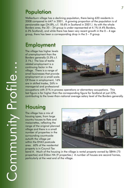# Population

Walkerburn village has a declining population, there being 620 residents in 2008 compared to 647 in 2001. A growing proportion of the population is of pensionable age (24.8%, c.f. 18.6% in Scotland in 2001.) As with the whole Borders area, the 20 – 24 group is under-represented at 4.1% (4.4% Borders, 6.3% Scotland), and while there has been very recent growth in the  $0 - 4$  age group, there has been a corresponding drop in the 5 – 9 group.

## **Employment**

The village has higher levels of unemployment than the Borders generally (5.5% c.f. 3.1%.) The loss of textile related employment is a continuing factor in the village. There is a range of small businesses that provide employment on a small scale. Of those in employment, 16% are in skilled trades, 26% in managerial and professional



occupations with 31% in process operations or elementary occupations. This last figure is far higher than the corresponding figure for Scotland at just 22%, contributing to the lower-than-national average salary level of the Borders generally.

## **Housing**

The village has a mix of housing types, from large country houses to flats and maisonettes, reflecting the range of the original planned village and there is a small number of properties in the surrounding countryside outwith the village yet within the EH43 postcode area. 60% of the residential property is in Council Tax



band A. Much of the housing in the village is rental property owned by SBHA (75 properties) and Eildon HA (9 properties.) A number of houses are second homes, particularly at the west end of the village.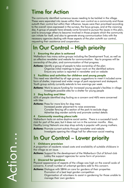## Time for Action

The community identified numerous issues needing to be tackled in the village. These were separated into issues within their own control as a community and those outwith their control but within their influence. Issues were then prioritised according to the overall views expressed in the surveys, the focus groups, and at the visioning day. A group of people have already come forward to pursue the issues in this plan, and to encourage others to become involved in those projects which the community can initiate for itself, and also to generate strong communication links with the necessary agencies dealing with those aspects of the plan outwith our control, requesting their assistance and cooperation.

# In Our Control – High priority

#### **1 Ensuring the plan is actioned**

Walkerburn has many active groups including the Development Trust, as well as an effective newsletter and website for communication. Key to progress will be ownership of the plan, and communication of that progress.

**Actions:** Identify a group of people to take ownership of the plan Organise initial meetings to begin work on the identified actions Ensure any action is reported in newsletter and on website

#### **2 Facilities and activities for children and young people**

This need was identified by all age groups; suggestions to meet it included some form of shelter, improved and wider range of park equipment and skatepark. Youth group activity currently extends to two evenings per week.

**Actions:** Work to secure funding for increased young people's facilities in village Investigate possible sites for a shelter for young people

#### **3 Dog fouling and litter**

65% of people identified dog fouling as a concern and 46% were concerned with litter

**Actions:** Press for more bins for dog mess

Increased poster placement to raise awareness Consider fencing off a section of the park to exclude dogs Advertise dog warden activity and promote contact details

#### **4 Community meeting place/café**

Walkerburn lacks an active daytime social centre. There is a successful lunch club for part of the year, but it does not run in the summer months. Also, Healthy Living Network one stop shop activity is popular with young mothers.

**Actions:** Promote current activity through newsletter and website Investigate opening the village hall for afternoon social meeting

## In Our Control – Lower priority

#### **1 Childcare provision**

A proportion of residents raised costs and availability of suitable childcare in the village as an issue.

**Actions:** Support for the development of the Walkerburn Out of School club Lobby the support agencies for some form of provision

#### **2 Uncared for gardens**

Physical appearance of aspects of the village was high on the overall scale of concerns. A small number of unkempt gardens add to this concern.

**Actions:** Dialogue with SBHA on care for gardens of their properties Promotion of a best kept garden competition

 Organisation of volunteers to assist in gardening for those unable to manage their own gardens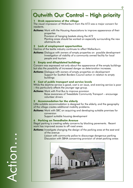# Outwith Our Control – High priority

#### **1 Drab appearance of the village**

The visual impression of Walkerburn from the A72 was a major concern for residents.

**Actions:** Work with the Housing Associations to improve appearance of their properties

Provision of hanging baskets along the A72

 Planting areas should be worked on especially surrounding the new allotments site

#### **2 Lack of employment opportunities**

Decline of the textile industry continues to affect Walkerburn.

**Actions:** Dialogue with owners of empty properties on possible development Investigation of viability of a community owned facility for local people and tourism

### **3 Empty and dilapidated buildings**

Concern was expressed not only about the appearance of the empty buildings but also the possibility of increased danger as deterioration increases.

**Actions:** Dialogue with owners of empty properties on development Support for Scottish Borders Council action in relation to empty buildings

### **4 Cost of public transport and service levels**

While the daytime service is good, cost is an issue, and evening service is poor – this particularly affects the younger age group.

**Actions:** Work with First Bus to improve provision Raise awareness of Tweeddale Community Transport – encourage

volunteer drivers

#### **5 Accommodation for the elderly**

Little suitable accommodation is designed for the elderly, and the geography of the village creates additional mobility problems.

**Actions:** Work with SBC on acquiring and developing suitable premises for conversion

Support suitable housing development

#### **6 Parking on Tweedholm Avenue**

Illegal parking is creating safety concerns by blocking pavements. Recent work has improved access to off road areas.

**Actions:** Investigate changing the design of the parking area at the east end of the avenue

Liaison with community police to discourage dangerous parking Discussion with SBHA concerning provision of street parking areas



Action…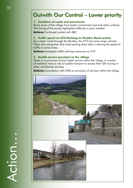## Outwith Our Control – Lower priority

### **1 Condition of roads and pavements**

Some areas of the village have badly maintained road and other surfaces. The timing of the survey highlighted difficulty in poor weather.

**Actions: Continued contact with SBC** 

## **2 Traffic speed on A72/Parking on Peebles Road section**

As a major route through the Borders, the A72 has some large vehicles. There was recognition that road parking does help in slowing the speed of traffic in some areas.

**Actions:**Investigate traffic calming measures on A72

## **3 Health service provision in the village**

There is no provision of any health service within the village. A number of residents have to rely on public transport to access their GP, nursing or other confidential services.

**Actions:**Consultation with NHS on provision of services within the village



Action…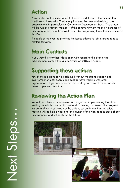## Action

A committee will be established to lead in the delivery of this action plan. It will work closely with Community Planning Partners and existing local organisations in particular the Community Development Trust. This group will be run by ordinary members of the community with the main purpose of achieving improvements to Walkerburn by progressing the actions identified in this Plan.

9 people at the event to prioritise the issues offered to join a group to take matters forward.

# Main Contacts

If you would like further information with regard to this plan or its advancement contact the Village Office on 01896 870522.

# Supporting these actions

Few of these actions can be achieved without the strong support and involvement of local people and collaborative working with other organisations. If you are interested in assisting with any of these priority projects, please contact us.

## Reviewing the Action Plan

We will from time to time review our progress in implementing this plan, inviting the whole community to attend a meeting and assess the progress we are making in carrying out the actions set out in the Plan. A review meeting will be held a year after the launch of the Plan, to take stock of our achievements and set goals for the future.